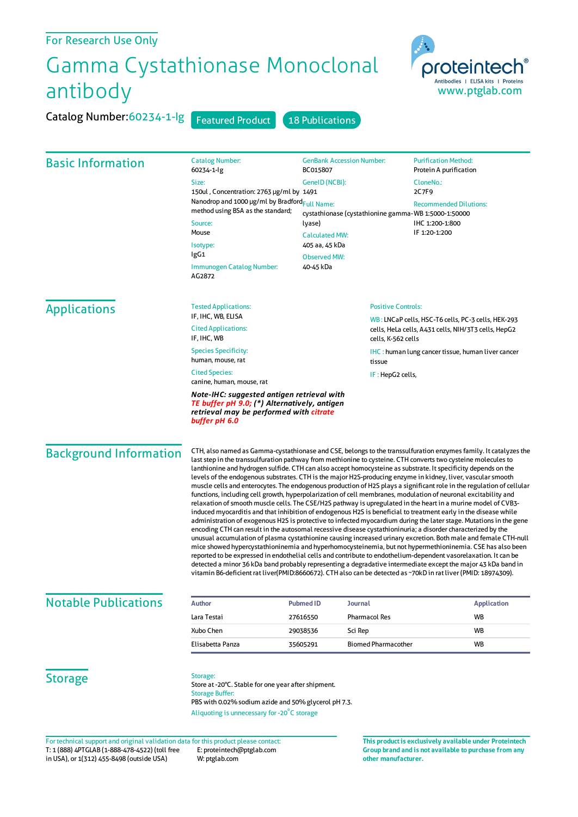## For Research Use Only

## Gamma Cystathionase Monoclonal antibody



Catalog Number: 60234-1-Ig Featured Product 18 Publications

| <b>Basic Information</b>                                                            | <b>Catalog Number:</b><br>60234-1-lg                                                                                                                                                                                                                                                                                                                                                                                                                                                                                                                                                                                                                                                                                                                                                                                                                                                                                                                                                                                                                                                                                                                                                                                                                                                                                                                                                                                                                                                                                                                                                                                                                                                                                                                                           | <b>GenBank Accession Number:</b><br>BC015807         |                                                                           | <b>Purification Method:</b><br>Protein A purification    |  |
|-------------------------------------------------------------------------------------|--------------------------------------------------------------------------------------------------------------------------------------------------------------------------------------------------------------------------------------------------------------------------------------------------------------------------------------------------------------------------------------------------------------------------------------------------------------------------------------------------------------------------------------------------------------------------------------------------------------------------------------------------------------------------------------------------------------------------------------------------------------------------------------------------------------------------------------------------------------------------------------------------------------------------------------------------------------------------------------------------------------------------------------------------------------------------------------------------------------------------------------------------------------------------------------------------------------------------------------------------------------------------------------------------------------------------------------------------------------------------------------------------------------------------------------------------------------------------------------------------------------------------------------------------------------------------------------------------------------------------------------------------------------------------------------------------------------------------------------------------------------------------------|------------------------------------------------------|---------------------------------------------------------------------------|----------------------------------------------------------|--|
|                                                                                     | Size:                                                                                                                                                                                                                                                                                                                                                                                                                                                                                                                                                                                                                                                                                                                                                                                                                                                                                                                                                                                                                                                                                                                                                                                                                                                                                                                                                                                                                                                                                                                                                                                                                                                                                                                                                                          | GenelD (NCBI):                                       |                                                                           | CloneNo.:                                                |  |
|                                                                                     | 150ul, Concentration: 2763 µg/ml by 1491                                                                                                                                                                                                                                                                                                                                                                                                                                                                                                                                                                                                                                                                                                                                                                                                                                                                                                                                                                                                                                                                                                                                                                                                                                                                                                                                                                                                                                                                                                                                                                                                                                                                                                                                       |                                                      |                                                                           | 2C7F9                                                    |  |
|                                                                                     | Nanodrop and 1000 µg/ml by Bradford <sub>Full Name:</sub><br>method using BSA as the standard;                                                                                                                                                                                                                                                                                                                                                                                                                                                                                                                                                                                                                                                                                                                                                                                                                                                                                                                                                                                                                                                                                                                                                                                                                                                                                                                                                                                                                                                                                                                                                                                                                                                                                 | cystathionase (cystathionine gamma-WB 1:5000-1:50000 |                                                                           | <b>Recommended Dilutions:</b>                            |  |
|                                                                                     | Source:                                                                                                                                                                                                                                                                                                                                                                                                                                                                                                                                                                                                                                                                                                                                                                                                                                                                                                                                                                                                                                                                                                                                                                                                                                                                                                                                                                                                                                                                                                                                                                                                                                                                                                                                                                        | lyase)<br><b>Calculated MW:</b>                      |                                                                           | IHC 1:200-1:800<br>IF 1:20-1:200                         |  |
|                                                                                     | Mouse                                                                                                                                                                                                                                                                                                                                                                                                                                                                                                                                                                                                                                                                                                                                                                                                                                                                                                                                                                                                                                                                                                                                                                                                                                                                                                                                                                                                                                                                                                                                                                                                                                                                                                                                                                          |                                                      |                                                                           |                                                          |  |
|                                                                                     | Isotype:                                                                                                                                                                                                                                                                                                                                                                                                                                                                                                                                                                                                                                                                                                                                                                                                                                                                                                                                                                                                                                                                                                                                                                                                                                                                                                                                                                                                                                                                                                                                                                                                                                                                                                                                                                       | 405 aa, 45 kDa                                       |                                                                           |                                                          |  |
|                                                                                     | lgG1                                                                                                                                                                                                                                                                                                                                                                                                                                                                                                                                                                                                                                                                                                                                                                                                                                                                                                                                                                                                                                                                                                                                                                                                                                                                                                                                                                                                                                                                                                                                                                                                                                                                                                                                                                           | <b>Observed MW:</b>                                  |                                                                           |                                                          |  |
|                                                                                     | Immunogen Catalog Number:<br>AG2872                                                                                                                                                                                                                                                                                                                                                                                                                                                                                                                                                                                                                                                                                                                                                                                                                                                                                                                                                                                                                                                                                                                                                                                                                                                                                                                                                                                                                                                                                                                                                                                                                                                                                                                                            | 40-45 kDa                                            |                                                                           |                                                          |  |
| <b>Applications</b>                                                                 | <b>Tested Applications:</b>                                                                                                                                                                                                                                                                                                                                                                                                                                                                                                                                                                                                                                                                                                                                                                                                                                                                                                                                                                                                                                                                                                                                                                                                                                                                                                                                                                                                                                                                                                                                                                                                                                                                                                                                                    |                                                      | <b>Positive Controls:</b>                                                 |                                                          |  |
|                                                                                     | IF, IHC, WB, ELISA                                                                                                                                                                                                                                                                                                                                                                                                                                                                                                                                                                                                                                                                                                                                                                                                                                                                                                                                                                                                                                                                                                                                                                                                                                                                                                                                                                                                                                                                                                                                                                                                                                                                                                                                                             |                                                      |                                                                           | WB: LNCaP cells, HSC-T6 cells, PC-3 cells, HEK-293       |  |
|                                                                                     | <b>Cited Applications:</b><br>IF, IHC, WB                                                                                                                                                                                                                                                                                                                                                                                                                                                                                                                                                                                                                                                                                                                                                                                                                                                                                                                                                                                                                                                                                                                                                                                                                                                                                                                                                                                                                                                                                                                                                                                                                                                                                                                                      |                                                      | cells, HeLa cells, A431 cells, NIH/3T3 cells, HepG2<br>cells, K-562 cells |                                                          |  |
|                                                                                     | <b>Species Specificity:</b><br>human, mouse, rat                                                                                                                                                                                                                                                                                                                                                                                                                                                                                                                                                                                                                                                                                                                                                                                                                                                                                                                                                                                                                                                                                                                                                                                                                                                                                                                                                                                                                                                                                                                                                                                                                                                                                                                               | tissue                                               |                                                                           | <b>IHC:</b> human lung cancer tissue, human liver cancer |  |
|                                                                                     | <b>Cited Species:</b><br>canine, human, mouse, rat                                                                                                                                                                                                                                                                                                                                                                                                                                                                                                                                                                                                                                                                                                                                                                                                                                                                                                                                                                                                                                                                                                                                                                                                                                                                                                                                                                                                                                                                                                                                                                                                                                                                                                                             |                                                      | IF: HepG2 cells,                                                          |                                                          |  |
|                                                                                     | Note-IHC: suggested antigen retrieval with<br>TE buffer pH 9.0; (*) Alternatively, antigen<br>retrieval may be performed with citrate<br>buffer pH 6.0                                                                                                                                                                                                                                                                                                                                                                                                                                                                                                                                                                                                                                                                                                                                                                                                                                                                                                                                                                                                                                                                                                                                                                                                                                                                                                                                                                                                                                                                                                                                                                                                                         |                                                      |                                                                           |                                                          |  |
| <b>Background Information</b>                                                       | CTH, also named as Gamma-cystathionase and CSE, belongs to the transsulfuration enzymes family. It catalyzes the<br>last step in the transsulfuration pathway from methionine to cysteine. CTH converts two cysteine molecules to<br>lanthionine and hydrogen sulfide. CTH can also accept homocysteine as substrate. It specificity depends on the<br>levels of the endogenous substrates. CTH is the major H2S-producing enzyme in kidney, liver, vascular smooth<br>muscle cells and enterocytes. The endogenous production of H2S plays a significant role in the regulation of cellular<br>functions, including cell growth, hyperpolarization of cell membranes, modulation of neuronal excitability and<br>relaxation of smooth muscle cells. The CSE/H2S pathway is upregulated in the heart in a murine model of CVB3-<br>induced myocarditis and that inhibition of endogenous H2S is beneficial to treatment early in the disease while<br>administration of exogenous H2S is protective to infected myocardium during the later stage. Mutations in the gene<br>encoding CTH can result in the autosomal recessive disease cystathioninuria; a disorder characterized by the<br>unusual accumulation of plasma cystathionine causing increased urinary excretion. Both male and female CTH-null<br>mice showed hypercystathioninemia and hyperhomocysteinemia, but not hypermethioninemia. CSE has also been<br>reported to be expressed in endothelial cells and contribute to endothelium-dependent vasorelaxation. It can be<br>detected a minor 36 kDa band probably representing a degradative intermediate except the major 43 kDa band in<br>vitamin B6-deficient rat liver(PMID:8660672). CTH also can be detected as ~70kD in rat liver (PMID: 18974309). |                                                      |                                                                           |                                                          |  |
| <b>Notable Publications</b>                                                         | <b>Author</b>                                                                                                                                                                                                                                                                                                                                                                                                                                                                                                                                                                                                                                                                                                                                                                                                                                                                                                                                                                                                                                                                                                                                                                                                                                                                                                                                                                                                                                                                                                                                                                                                                                                                                                                                                                  | <b>Pubmed ID</b><br><b>Journal</b>                   |                                                                           | <b>Application</b>                                       |  |
|                                                                                     | Lara Testai                                                                                                                                                                                                                                                                                                                                                                                                                                                                                                                                                                                                                                                                                                                                                                                                                                                                                                                                                                                                                                                                                                                                                                                                                                                                                                                                                                                                                                                                                                                                                                                                                                                                                                                                                                    | <b>Pharmacol Res</b><br>27616550                     |                                                                           | WB                                                       |  |
|                                                                                     | Xubo Chen                                                                                                                                                                                                                                                                                                                                                                                                                                                                                                                                                                                                                                                                                                                                                                                                                                                                                                                                                                                                                                                                                                                                                                                                                                                                                                                                                                                                                                                                                                                                                                                                                                                                                                                                                                      | Sci Rep<br>29038536                                  |                                                                           | WB                                                       |  |
|                                                                                     | Elisabetta Panza                                                                                                                                                                                                                                                                                                                                                                                                                                                                                                                                                                                                                                                                                                                                                                                                                                                                                                                                                                                                                                                                                                                                                                                                                                                                                                                                                                                                                                                                                                                                                                                                                                                                                                                                                               | 35605291                                             | <b>Biomed Pharmacother</b>                                                | WB                                                       |  |
| <b>Storage</b>                                                                      | Storage:<br>Store at -20°C. Stable for one year after shipment.<br><b>Storage Buffer:</b><br>PBS with 0.02% sodium azide and 50% glycerol pH 7.3.<br>Aliquoting is unnecessary for -20°C storage                                                                                                                                                                                                                                                                                                                                                                                                                                                                                                                                                                                                                                                                                                                                                                                                                                                                                                                                                                                                                                                                                                                                                                                                                                                                                                                                                                                                                                                                                                                                                                               |                                                      |                                                                           |                                                          |  |
| For technical support and original validation data for this product please contact: |                                                                                                                                                                                                                                                                                                                                                                                                                                                                                                                                                                                                                                                                                                                                                                                                                                                                                                                                                                                                                                                                                                                                                                                                                                                                                                                                                                                                                                                                                                                                                                                                                                                                                                                                                                                |                                                      |                                                                           | This product is exclusively available under Proteintech  |  |

T: 1 (888) 4PTGLAB (1-888-478-4522) (toll free in USA), or 1(312) 455-8498 (outside USA)

E: proteintech@ptglab.com W: ptglab.com

**Group brand and is not available to purchase from any other manufacturer.**